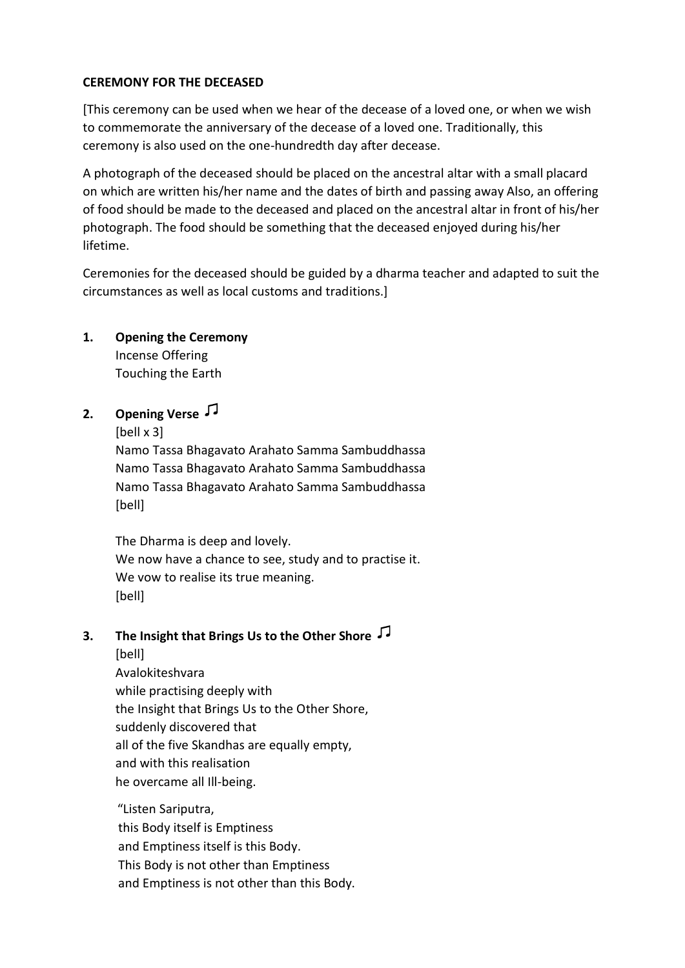### **CEREMONY FOR THE DECEASED**

[This ceremony can be used when we hear of the decease of a loved one, or when we wish to commemorate the anniversary of the decease of a loved one. Traditionally, this ceremony is also used on the one-hundredth day after decease.

A photograph of the deceased should be placed on the ancestral altar with a small placard on which are written his/her name and the dates of birth and passing away Also, an offering of food should be made to the deceased and placed on the ancestral altar in front of his/her photograph. The food should be something that the deceased enjoyed during his/her lifetime.

Ceremonies for the deceased should be guided by a dharma teacher and adapted to suit the circumstances as well as local customs and traditions.]

### **1. Opening the Ceremony**

Incense Offering Touching the Earth

# **2. Opening Verse**

[bell x 3]

Namo Tassa Bhagavato Arahato Samma Sambuddhassa Namo Tassa Bhagavato Arahato Samma Sambuddhassa Namo Tassa Bhagavato Arahato Samma Sambuddhassa [bell]

The Dharma is deep and lovely. We now have a chance to see, study and to practise it. We vow to realise its true meaning. [bell]

# **3. The Insight that Brings Us to the Other Shore**

[bell] Avalokiteshvara while practising deeply with the Insight that Brings Us to the Other Shore, suddenly discovered that all of the five Skandhas are equally empty, and with this realisation he overcame all Ill-being.

"Listen Sariputra, this Body itself is Emptiness and Emptiness itself is this Body. This Body is not other than Emptiness and Emptiness is not other than this Body.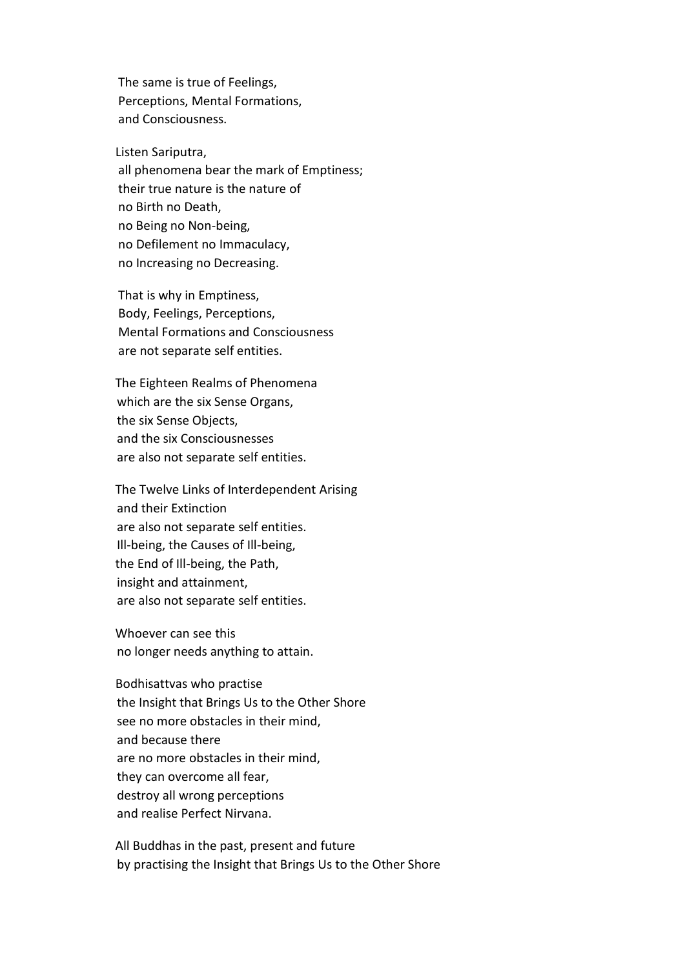The same is true of Feelings, Perceptions, Mental Formations, and Consciousness.

Listen Sariputra, all phenomena bear the mark of Emptiness; their true nature is the nature of no Birth no Death, no Being no Non-being, no Defilement no Immaculacy, no Increasing no Decreasing.

That is why in Emptiness, Body, Feelings, Perceptions, Mental Formations and Consciousness are not separate self entities.

The Eighteen Realms of Phenomena which are the six Sense Organs, the six Sense Objects, and the six Consciousnesses are also not separate self entities.

The Twelve Links of Interdependent Arising and their Extinction are also not separate self entities. Ill-being, the Causes of Ill-being, the End of Ill-being, the Path, insight and attainment, are also not separate self entities.

Whoever can see this no longer needs anything to attain.

Bodhisattvas who practise the Insight that Brings Us to the Other Shore see no more obstacles in their mind, and because there are no more obstacles in their mind, they can overcome all fear, destroy all wrong perceptions and realise Perfect Nirvana.

All Buddhas in the past, present and future by practising the Insight that Brings Us to the Other Shore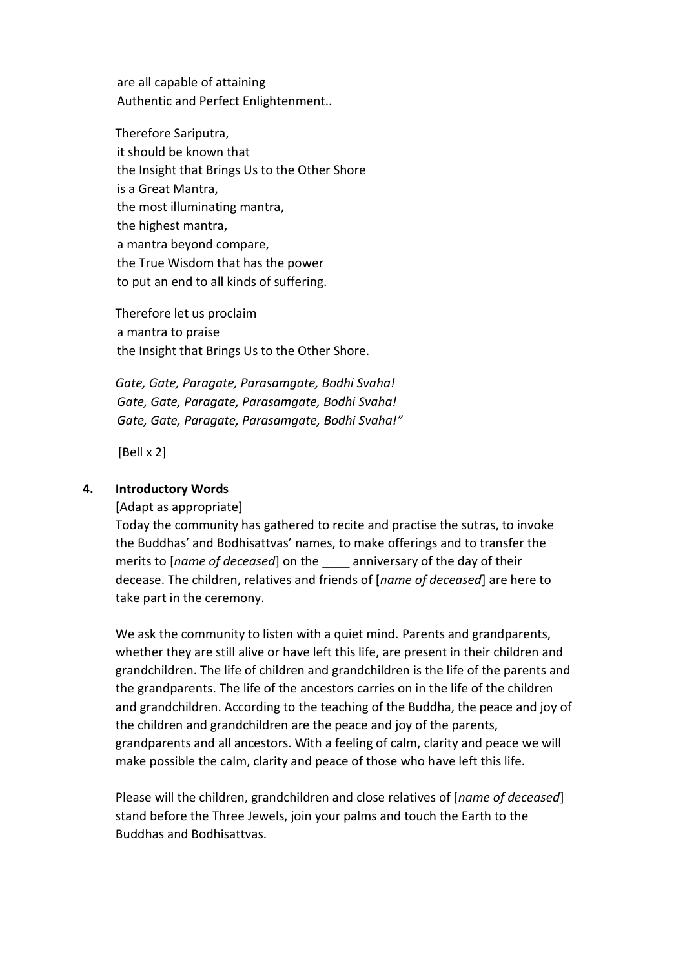are all capable of attaining Authentic and Perfect Enlightenment..

Therefore Sariputra, it should be known that the Insight that Brings Us to the Other Shore is a Great Mantra, the most illuminating mantra, the highest mantra, a mantra beyond compare, the True Wisdom that has the power to put an end to all kinds of suffering.

Therefore let us proclaim a mantra to praise the Insight that Brings Us to the Other Shore.

*Gate, Gate, Paragate, Parasamgate, Bodhi Svaha! Gate, Gate, Paragate, Parasamgate, Bodhi Svaha! Gate, Gate, Paragate, Parasamgate, Bodhi Svaha!"*

[Bell x 2]

#### **4. Introductory Words**

[Adapt as appropriate]

Today the community has gathered to recite and practise the sutras, to invoke the Buddhas' and Bodhisattvas' names, to make offerings and to transfer the merits to [*name of deceased*] on the anniversary of the day of their decease. The children, relatives and friends of [*name of deceased*] are here to take part in the ceremony.

We ask the community to listen with a quiet mind. Parents and grandparents, whether they are still alive or have left this life, are present in their children and grandchildren. The life of children and grandchildren is the life of the parents and the grandparents. The life of the ancestors carries on in the life of the children and grandchildren. According to the teaching of the Buddha, the peace and joy of the children and grandchildren are the peace and joy of the parents, grandparents and all ancestors. With a feeling of calm, clarity and peace we will make possible the calm, clarity and peace of those who have left this life.

Please will the children, grandchildren and close relatives of [*name of deceased*] stand before the Three Jewels, join your palms and touch the Earth to the Buddhas and Bodhisattvas.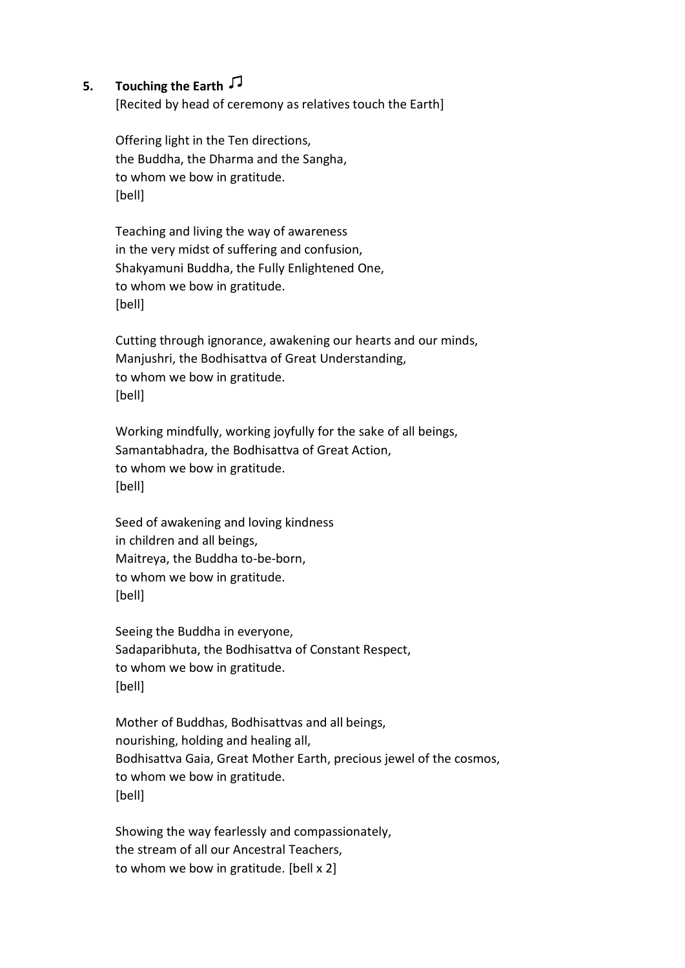## **5. Touching the Earth**

[Recited by head of ceremony as relatives touch the Earth]

Offering light in the Ten directions, the Buddha, the Dharma and the Sangha, to whom we bow in gratitude. [bell]

Teaching and living the way of awareness in the very midst of suffering and confusion, Shakyamuni Buddha, the Fully Enlightened One, to whom we bow in gratitude. [bell]

Cutting through ignorance, awakening our hearts and our minds, Manjushri, the Bodhisattva of Great Understanding, to whom we bow in gratitude. [bell]

Working mindfully, working joyfully for the sake of all beings, Samantabhadra, the Bodhisattva of Great Action, to whom we bow in gratitude. [bell]

Seed of awakening and loving kindness in children and all beings, Maitreya, the Buddha to-be-born, to whom we bow in gratitude. [bell]

Seeing the Buddha in everyone, Sadaparibhuta, the Bodhisattva of Constant Respect, to whom we bow in gratitude. [bell]

Mother of Buddhas, Bodhisattvas and all beings, nourishing, holding and healing all, Bodhisattva Gaia, Great Mother Earth, precious jewel of the cosmos, to whom we bow in gratitude. [bell]

Showing the way fearlessly and compassionately, the stream of all our Ancestral Teachers, to whom we bow in gratitude. [bell x 2]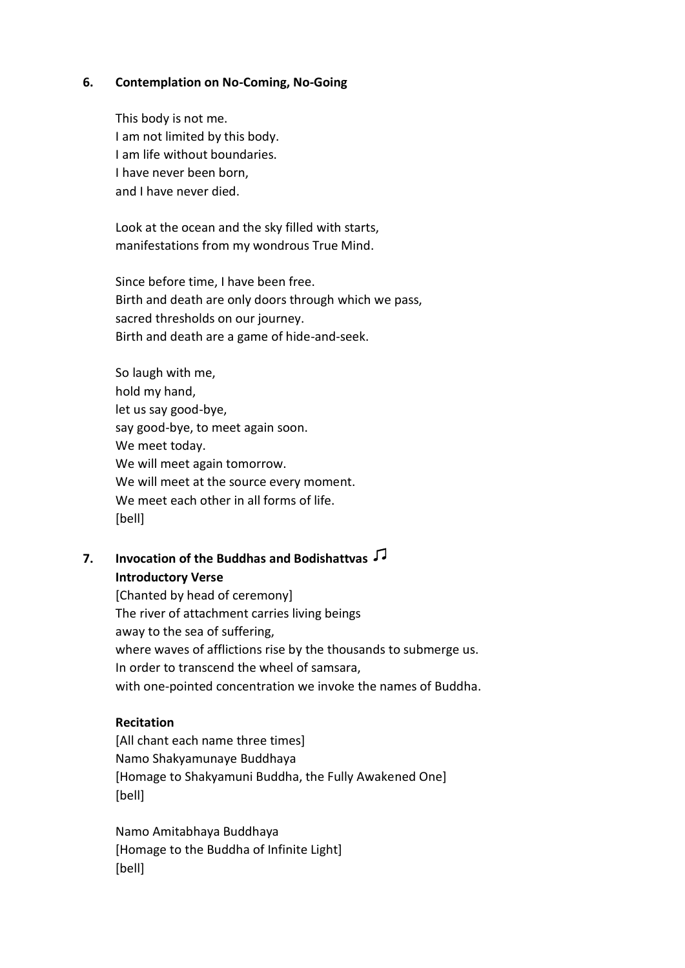#### **6. Contemplation on No-Coming, No-Going**

This body is not me. I am not limited by this body. I am life without boundaries. I have never been born, and I have never died.

Look at the ocean and the sky filled with starts, manifestations from my wondrous True Mind.

Since before time, I have been free. Birth and death are only doors through which we pass, sacred thresholds on our journey. Birth and death are a game of hide-and-seek.

So laugh with me, hold my hand, let us say good-bye, say good-bye, to meet again soon. We meet today. We will meet again tomorrow. We will meet at the source every moment. We meet each other in all forms of life. [bell]

## **7. Invocation of the Buddhas and Bodishattvas Introductory Verse**

[Chanted by head of ceremony] The river of attachment carries living beings away to the sea of suffering, where waves of afflictions rise by the thousands to submerge us. In order to transcend the wheel of samsara, with one-pointed concentration we invoke the names of Buddha.

#### **Recitation**

[All chant each name three times] Namo Shakyamunaye Buddhaya [Homage to Shakyamuni Buddha, the Fully Awakened One] [bell]

Namo Amitabhaya Buddhaya [Homage to the Buddha of Infinite Light] [bell]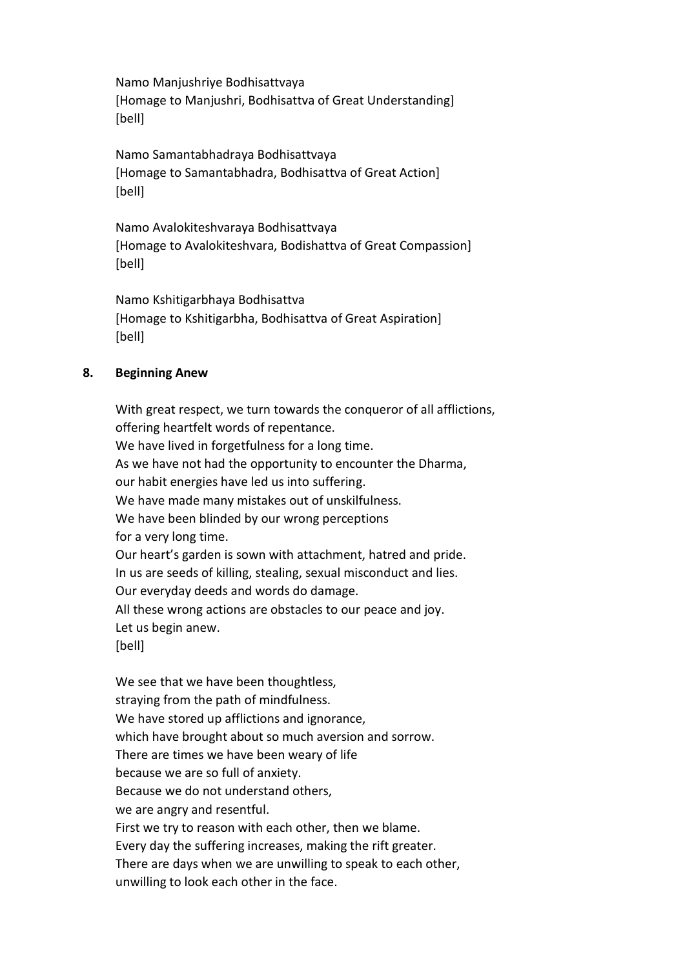Namo Manjushriye Bodhisattvaya [Homage to Manjushri, Bodhisattva of Great Understanding] [bell]

Namo Samantabhadraya Bodhisattvaya [Homage to Samantabhadra, Bodhisattva of Great Action] [bell]

Namo Avalokiteshvaraya Bodhisattvaya [Homage to Avalokiteshvara, Bodishattva of Great Compassion] [bell]

Namo Kshitigarbhaya Bodhisattva [Homage to Kshitigarbha, Bodhisattva of Great Aspiration] [bell]

### **8. Beginning Anew**

With great respect, we turn towards the conqueror of all afflictions, offering heartfelt words of repentance. We have lived in forgetfulness for a long time. As we have not had the opportunity to encounter the Dharma, our habit energies have led us into suffering. We have made many mistakes out of unskilfulness. We have been blinded by our wrong perceptions for a very long time. Our heart's garden is sown with attachment, hatred and pride. In us are seeds of killing, stealing, sexual misconduct and lies. Our everyday deeds and words do damage. All these wrong actions are obstacles to our peace and joy. Let us begin anew. [bell]

We see that we have been thoughtless, straying from the path of mindfulness. We have stored up afflictions and ignorance, which have brought about so much aversion and sorrow. There are times we have been weary of life because we are so full of anxiety. Because we do not understand others, we are angry and resentful. First we try to reason with each other, then we blame. Every day the suffering increases, making the rift greater. There are days when we are unwilling to speak to each other, unwilling to look each other in the face.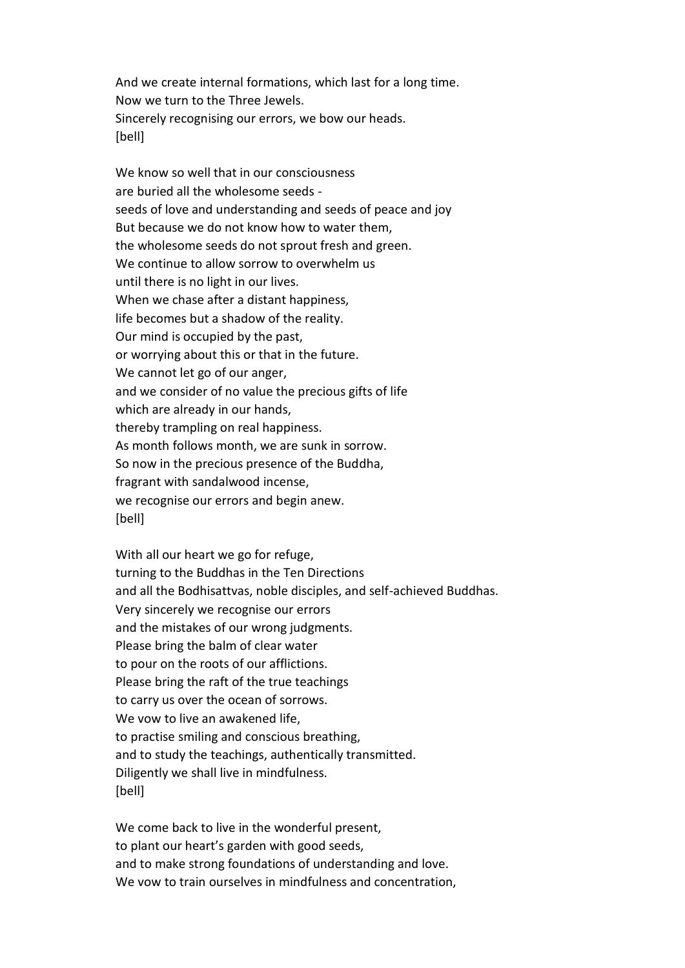And we create internal formations, which last for a long time. Now we turn to the Three Jewels. Sincerely recognising our errors, we bow our heads. [bell]

We know so well that in our consciousness are buried all the wholesome seeds seeds of love and understanding and seeds of peace and joy But because we do not know how to water them, the wholesome seeds do not sprout fresh and green. We continue to allow sorrow to overwhelm us until there is no light in our lives. When we chase after a distant happiness, life becomes but a shadow of the reality. Our mind is occupied by the past, or worrying about this or that in the future. We cannot let go of our anger, and we consider of no value the precious gifts of life which are already in our hands, thereby trampling on real happiness. As month follows month, we are sunk in sorrow. So now in the precious presence of the Buddha, fragrant with sandalwood incense, we recognise our errors and begin anew. [bell]

With all our heart we go for refuge, turning to the Buddhas in the Ten Directions and all the Bodhisattvas, noble disciples, and self-achieved Buddhas. Very sincerely we recognise our errors and the mistakes of our wrong judgments. Please bring the balm of clear water to pour on the roots of our afflictions. Please bring the raft of the true teachings to carry us over the ocean of sorrows. We vow to live an awakened life, to practise smiling and conscious breathing, and to study the teachings, authentically transmitted. Diligently we shall live in mindfulness. [bell]

We come back to live in the wonderful present, to plant our heart's garden with good seeds, and to make strong foundations of understanding and love. We vow to train ourselves in mindfulness and concentration,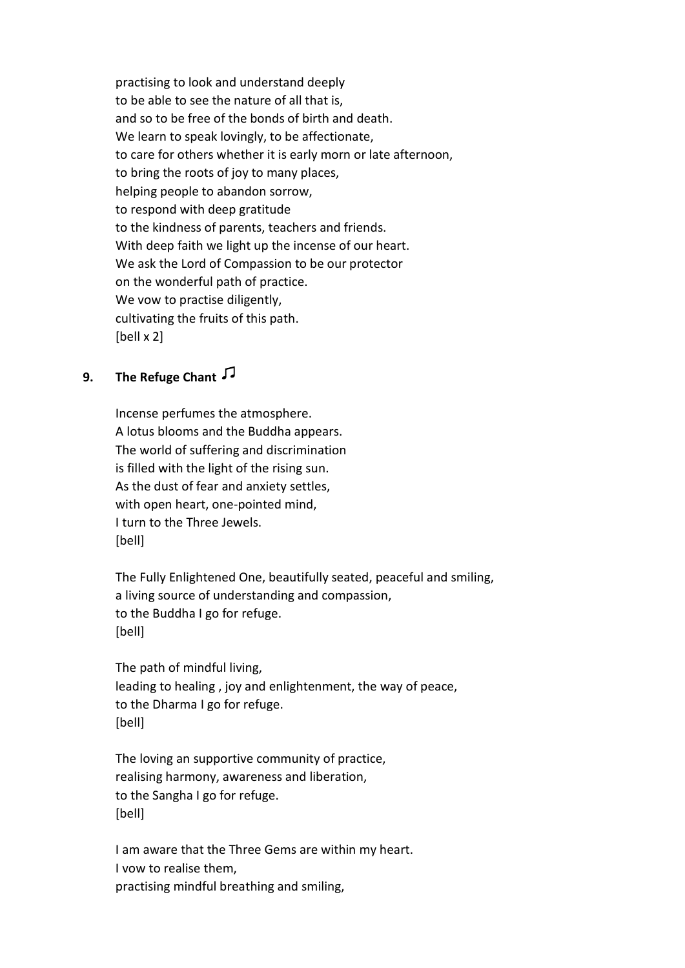practising to look and understand deeply to be able to see the nature of all that is, and so to be free of the bonds of birth and death. We learn to speak lovingly, to be affectionate, to care for others whether it is early morn or late afternoon, to bring the roots of joy to many places, helping people to abandon sorrow, to respond with deep gratitude to the kindness of parents, teachers and friends. With deep faith we light up the incense of our heart. We ask the Lord of Compassion to be our protector on the wonderful path of practice. We vow to practise diligently, cultivating the fruits of this path. [bell x 2]

## **9. The Refuge Chant**

Incense perfumes the atmosphere. A lotus blooms and the Buddha appears. The world of suffering and discrimination is filled with the light of the rising sun. As the dust of fear and anxiety settles, with open heart, one-pointed mind, I turn to the Three Jewels. [bell]

The Fully Enlightened One, beautifully seated, peaceful and smiling, a living source of understanding and compassion, to the Buddha I go for refuge. [bell]

The path of mindful living, leading to healing , joy and enlightenment, the way of peace, to the Dharma I go for refuge. [bell]

The loving an supportive community of practice, realising harmony, awareness and liberation, to the Sangha I go for refuge. [bell]

I am aware that the Three Gems are within my heart. I vow to realise them, practising mindful breathing and smiling,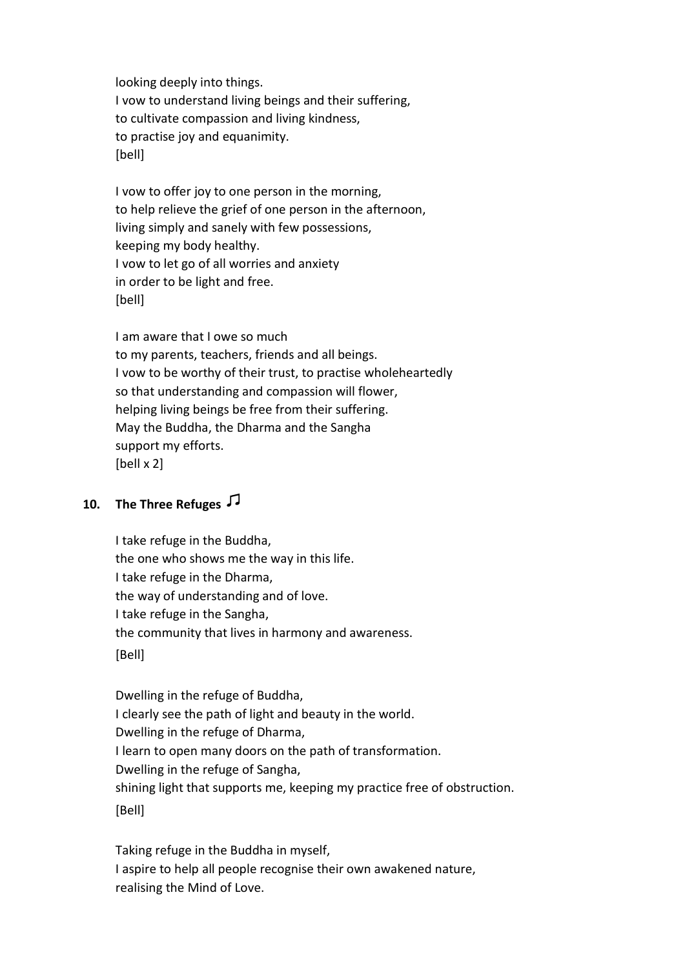looking deeply into things. I vow to understand living beings and their suffering, to cultivate compassion and living kindness, to practise joy and equanimity. [bell]

I vow to offer joy to one person in the morning, to help relieve the grief of one person in the afternoon, living simply and sanely with few possessions, keeping my body healthy. I vow to let go of all worries and anxiety in order to be light and free. [bell]

I am aware that I owe so much to my parents, teachers, friends and all beings. I vow to be worthy of their trust, to practise wholeheartedly so that understanding and compassion will flower, helping living beings be free from their suffering. May the Buddha, the Dharma and the Sangha support my efforts. [bell x 2]

# **10. The Three Refuges**

I take refuge in the Buddha, the one who shows me the way in this life. I take refuge in the Dharma, the way of understanding and of love. I take refuge in the Sangha, the community that lives in harmony and awareness. [Bell]

Dwelling in the refuge of Buddha, I clearly see the path of light and beauty in the world. Dwelling in the refuge of Dharma, I learn to open many doors on the path of transformation. Dwelling in the refuge of Sangha, shining light that supports me, keeping my practice free of obstruction. [Bell]

Taking refuge in the Buddha in myself, I aspire to help all people recognise their own awakened nature, realising the Mind of Love.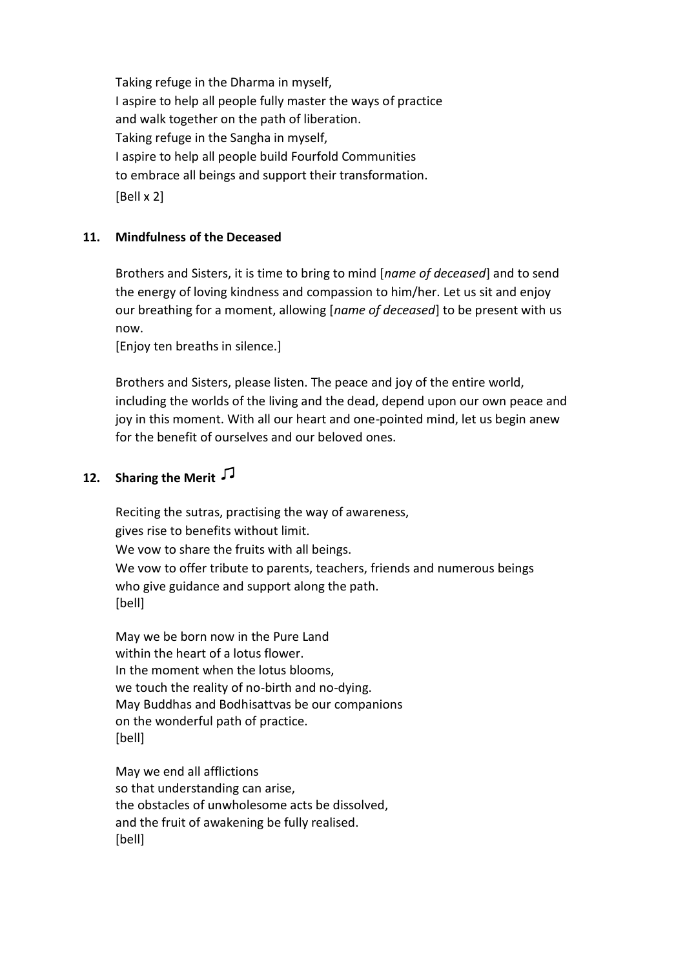Taking refuge in the Dharma in myself, I aspire to help all people fully master the ways of practice and walk together on the path of liberation. Taking refuge in the Sangha in myself, I aspire to help all people build Fourfold Communities to embrace all beings and support their transformation. [Bell x 2]

### **11. Mindfulness of the Deceased**

Brothers and Sisters, it is time to bring to mind [*name of deceased*] and to send the energy of loving kindness and compassion to him/her. Let us sit and enjoy our breathing for a moment, allowing [*name of deceased*] to be present with us now.

[Enjoy ten breaths in silence.]

Brothers and Sisters, please listen. The peace and joy of the entire world, including the worlds of the living and the dead, depend upon our own peace and joy in this moment. With all our heart and one-pointed mind, let us begin anew for the benefit of ourselves and our beloved ones.

## **12. Sharing the Merit**

Reciting the sutras, practising the way of awareness, gives rise to benefits without limit. We vow to share the fruits with all beings. We vow to offer tribute to parents, teachers, friends and numerous beings who give guidance and support along the path. [bell]

May we be born now in the Pure Land within the heart of a lotus flower. In the moment when the lotus blooms, we touch the reality of no-birth and no-dying. May Buddhas and Bodhisattvas be our companions on the wonderful path of practice. [bell]

May we end all afflictions so that understanding can arise, the obstacles of unwholesome acts be dissolved, and the fruit of awakening be fully realised. [bell]